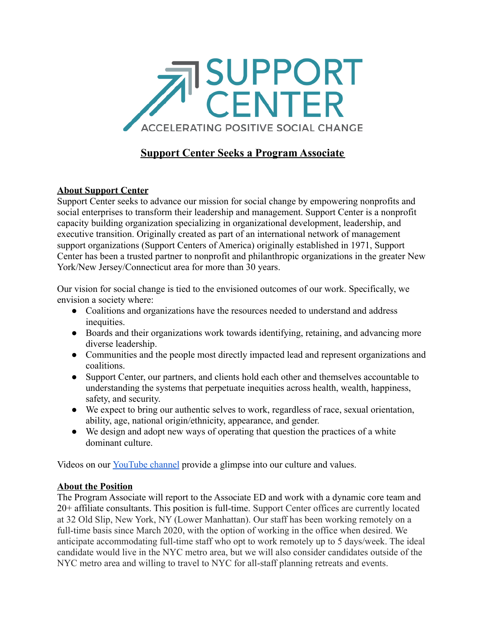

# **Support Center Seeks a Program Associate**

### **About Support Center**

Support Center seeks to advance our mission for social change by empowering nonprofits and social enterprises to transform their leadership and management. Support Center is a nonprofit capacity building organization specializing in organizational development, leadership, and executive transition. Originally created as part of an international network of management support organizations (Support Centers of America) originally established in 1971, Support Center has been a trusted partner to nonprofit and philanthropic organizations in the greater New York/New Jersey/Connecticut area for more than 30 years.

Our vision for social change is tied to the envisioned outcomes of our work. Specifically, we envision a society where:

- Coalitions and organizations have the resources needed to understand and address inequities.
- Boards and their organizations work towards identifying, retaining, and advancing more diverse leadership.
- Communities and the people most directly impacted lead and represent organizations and coalitions.
- Support Center, our partners, and clients hold each other and themselves accountable to understanding the systems that perpetuate inequities across health, wealth, happiness, safety, and security.
- We expect to bring our authentic selves to work, regardless of race, sexual orientation, ability, age, national origin/ethnicity, appearance, and gender.
- We design and adopt new ways of operating that question the practices of a white dominant culture.

Videos on our [YouTube channel](https://www.youtube.com/channel/UCSp5StcF_pBujvcEpNiHoBg) provide a glimpse into our culture and values.

#### **About the Position**

The Program Associate will report to the Associate ED and work with a dynamic core team and 20+ affiliate consultants. This position is full-time. Support Center offices are currently located at 32 Old Slip, New York, NY (Lower Manhattan). Our staff has been working remotely on a full-time basis since March 2020, with the option of working in the office when desired. We anticipate accommodating full-time staff who opt to work remotely up to 5 days/week. The ideal candidate would live in the NYC metro area, but we will also consider candidates outside of the NYC metro area and willing to travel to NYC for all-staff planning retreats and events.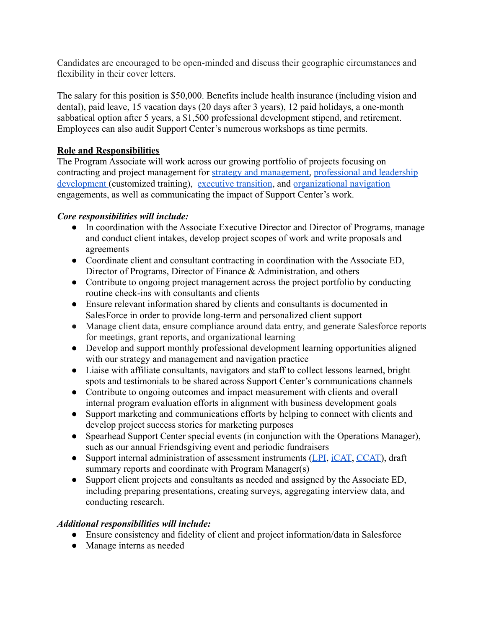Candidates are encouraged to be open-minded and discuss their geographic circumstances and flexibility in their cover letters.

The salary for this position is \$50,000. Benefits include health insurance (including vision and dental), paid leave, 15 vacation days (20 days after 3 years), 12 paid holidays, a one-month sabbatical option after 5 years, a \$1,500 professional development stipend, and retirement. Employees can also audit Support Center's numerous workshops as time permits.

### **Role and Responsibilities**

The Program Associate will work across our growing portfolio of projects focusing on contracting and project management for strategy and [management,](https://supportcenteronline.org/services/strategy-and-management/) [professional and leadership](https://supportcenteronline.org/services/professional-and-leadership-development/) [development](https://supportcenteronline.org/services/professional-and-leadership-development/) (customized training), [executive transition](https://supportcenteronline.org/services/executive-transition/), and [organizational navigation](https://supportcenteronline.org/services/organizational-navigation/) engagements, as well as communicating the impact of Support Center's work.

### *Core responsibilities will include:*

- In coordination with the Associate Executive Director and Director of Programs, manage and conduct client intakes, develop project scopes of work and write proposals and agreements
- Coordinate client and consultant contracting in coordination with the Associate ED, Director of Programs, Director of Finance & Administration, and others
- Contribute to ongoing project management across the project portfolio by conducting routine check-ins with consultants and clients
- Ensure relevant information shared by clients and consultants is documented in SalesForce in order to provide long-term and personalized client support
- Manage client data, ensure compliance around data entry, and generate Salesforce reports for meetings, grant reports, and organizational learning
- Develop and support monthly professional development learning opportunities aligned with our strategy and management and navigation practice
- Liaise with affiliate consultants, navigators and staff to collect lessons learned, bright spots and testimonials to be shared across Support Center's communications channels
- Contribute to ongoing outcomes and impact measurement with clients and overall internal program evaluation efforts in alignment with business development goals
- Support marketing and communications efforts by helping to connect with clients and develop project success stories for marketing purposes
- Spearhead Support Center special events (in conjunction with the Operations Manager), such as our annual Friendsgiving event and periodic fundraisers
- Support internal administration of assessment instruments [\(LPI](https://www.lpileadershippracticesinventory.com/?utm_source=google&utm_medium=cpc&utm_campaign=tlc_client_lead_search_institutional_us&utm_content=rsa_2_201906&gclid=EAIaIQobChMIhd_TqfHB5wIVip6zCh3n5gzREAAYASAAEgIMf_D_BwE), [iCAT](https://algorhythm.io/icat/), [CCAT\)](https://www.tccgrp.com/product/core-capacity-assessment-tool-ccat/), draft summary reports and coordinate with Program Manager(s)
- Support client projects and consultants as needed and assigned by the Associate ED, including preparing presentations, creating surveys, aggregating interview data, and conducting research.

#### *Additional responsibilities will include:*

- Ensure consistency and fidelity of client and project information/data in Salesforce
- Manage interns as needed